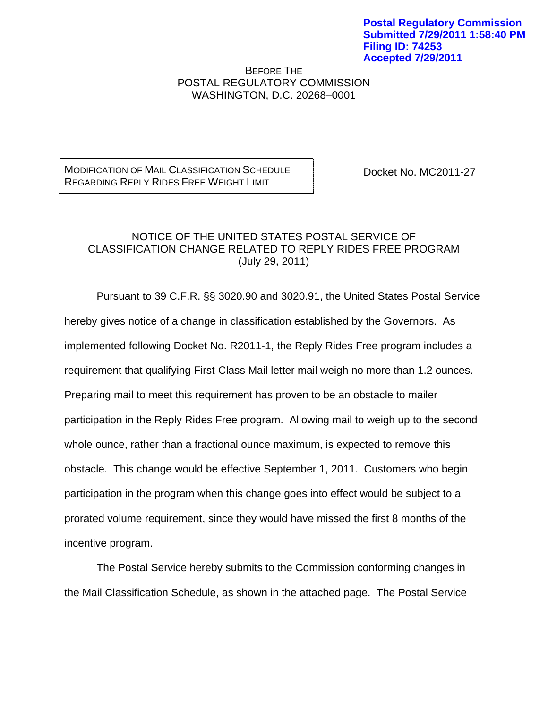BEFORE THE POSTAL REGULATORY COMMISSION WASHINGTON, D.C. 20268–0001

MODIFICATION OF MAIL CLASSIFICATION SCHEDULE REGARDING REPLY RIDES FREE WEIGHT LIMIT

Docket No. MC2011-27

## NOTICE OF THE UNITED STATES POSTAL SERVICE OF CLASSIFICATION CHANGE RELATED TO REPLY RIDES FREE PROGRAM (July 29, 2011)

Pursuant to 39 C.F.R. §§ 3020.90 and 3020.91, the United States Postal Service hereby gives notice of a change in classification established by the Governors. As implemented following Docket No. R2011-1, the Reply Rides Free program includes a requirement that qualifying First-Class Mail letter mail weigh no more than 1.2 ounces. Preparing mail to meet this requirement has proven to be an obstacle to mailer participation in the Reply Rides Free program. Allowing mail to weigh up to the second whole ounce, rather than a fractional ounce maximum, is expected to remove this obstacle. This change would be effective September 1, 2011. Customers who begin participation in the program when this change goes into effect would be subject to a prorated volume requirement, since they would have missed the first 8 months of the incentive program.

The Postal Service hereby submits to the Commission conforming changes in the Mail Classification Schedule, as shown in the attached page. The Postal Service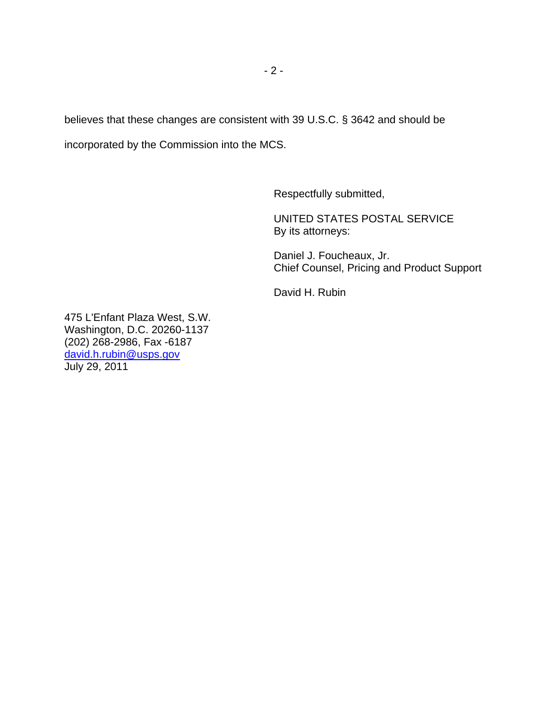believes that these changes are consistent with 39 U.S.C. § 3642 and should be incorporated by the Commission into the MCS.

Respectfully submitted,

 UNITED STATES POSTAL SERVICE By its attorneys:

 Daniel J. Foucheaux, Jr. Chief Counsel, Pricing and Product Support

David H. Rubin

475 L'Enfant Plaza West, S.W. Washington, D.C. 20260-1137 (202) 268-2986, Fax -6187 david.h.rubin@usps.gov July 29, 2011